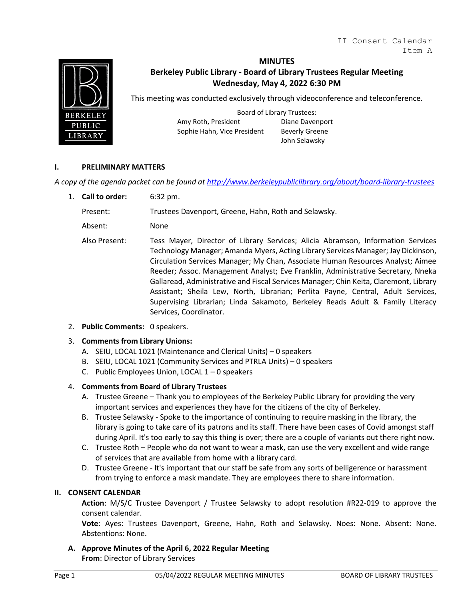

#### **MINUTES**

# **Berkeley Public Library - Board of Library Trustees Regular Meeting Wednesday, May 4, 2022 6:30 PM**

This meeting was conducted exclusively through videoconference and teleconference.

Board of Library Trustees: Amy Roth, President Diane Davenport Sophie Hahn, Vice President Beverly Greene

John Selawsky

#### **I. PRELIMINARY MATTERS**

*A copy of the agenda packet can be found at<http://www.berkeleypubliclibrary.org/about/board-library-trustees>*

1. **Call to order:** 6:32 pm.

Present: Trustees Davenport, Greene, Hahn, Roth and Selawsky.

Absent: None

- Also Present: Tess Mayer, Director of Library Services; Alicia Abramson, Information Services Technology Manager; Amanda Myers, Acting Library Services Manager; Jay Dickinson, Circulation Services Manager; My Chan, Associate Human Resources Analyst; Aimee Reeder; Assoc. Management Analyst; Eve Franklin, Administrative Secretary, Nneka Gallaread, Administrative and Fiscal Services Manager; Chin Keita, Claremont, Library Assistant; Sheila Lew, North, Librarian; Perlita Payne, Central, Adult Services, Supervising Librarian; Linda Sakamoto, Berkeley Reads Adult & Family Literacy Services, Coordinator.
- 2. **Public Comments:** 0 speakers.

#### 3. **Comments from Library Unions:**

- A. SEIU, LOCAL 1021 (Maintenance and Clerical Units) 0 speakers
- B. SEIU, LOCAL 1021 (Community Services and PTRLA Units) 0 speakers
- C. Public Employees Union, LOCAL 1 0 speakers

#### 4. **Comments from Board of Library Trustees**

- A. Trustee Greene Thank you to employees of the Berkeley Public Library for providing the very important services and experiences they have for the citizens of the city of Berkeley.
- B. Trustee Selawsky Spoke to the importance of continuing to require masking in the library, the library is going to take care of its patrons and its staff. There have been cases of Covid amongst staff during April. It's too early to say this thing is over; there are a couple of variants out there right now.
- C. Trustee Roth People who do not want to wear a mask, can use the very excellent and wide range of services that are available from home with a library card.
- D. Trustee Greene It's important that our staff be safe from any sorts of belligerence or harassment from trying to enforce a mask mandate. They are employees there to share information.

#### **II. CONSENT CALENDAR**

**Action**: M/S/C Trustee Davenport / Trustee Selawsky to adopt resolution #R22-019 to approve the consent calendar.

**Vote**: Ayes: Trustees Davenport, Greene, Hahn, Roth and Selawsky. Noes: None. Absent: None. Abstentions: None.

**A. Approve Minutes of the April 6, 2022 Regular Meeting From**: Director of Library Services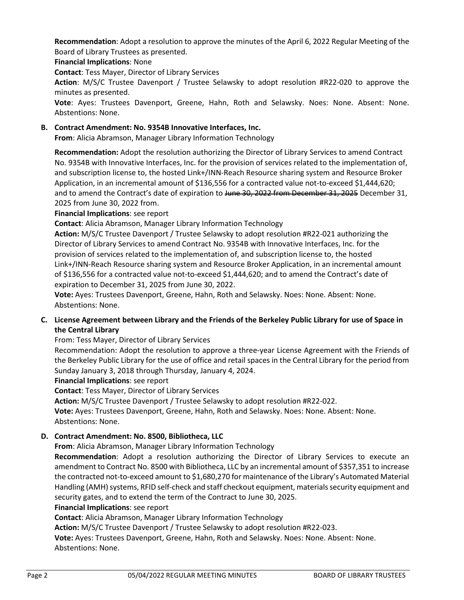**Recommendation**: Adopt a resolution to approve the minutes of the April 6, 2022 Regular Meeting of the Board of Library Trustees as presented.

**Financial Implications**: None

**Contact**: Tess Mayer, Director of Library Services

**Action**: M/S/C Trustee Davenport / Trustee Selawsky to adopt resolution #R22-020 to approve the minutes as presented.

**Vote**: Ayes: Trustees Davenport, Greene, Hahn, Roth and Selawsky. Noes: None. Absent: None. Abstentions: None.

## **B. Contract Amendment: No. 9354B Innovative Interfaces, Inc.**

**From**: Alicia Abramson, Manager Library Information Technology

**Recommendation:** Adopt the resolution authorizing the Director of Library Services to amend Contract No. 9354B with Innovative Interfaces, Inc. for the provision of services related to the implementation of, and subscription license to, the hosted Link+/INN-Reach Resource sharing system and Resource Broker Application, in an incremental amount of \$136,556 for a contracted value not-to-exceed \$1,444,620; and to amend the Contract's date of expiration to June 30, 2022 from December 31, 2025 December 31, 2025 from June 30, 2022 from.

**Financial Implications**: see report

**Contact**: Alicia Abramson, Manager Library Information Technology

**Action:** M/S/C Trustee Davenport / Trustee Selawsky to adopt resolution #R22-021 authorizing the Director of Library Services to amend Contract No. 9354B with Innovative Interfaces, Inc. for the provision of services related to the implementation of, and subscription license to, the hosted Link+/INN-Reach Resource sharing system and Resource Broker Application, in an incremental amount of \$136,556 for a contracted value not-to-exceed \$1,444,620; and to amend the Contract's date of expiration to December 31, 2025 from June 30, 2022.

**Vote:** Ayes: Trustees Davenport, Greene, Hahn, Roth and Selawsky. Noes: None. Absent: None. Abstentions: None.

# **C. License Agreement between Library and the Friends of the Berkeley Public Library for use of Space in the Central Library**

# From: Tess Mayer, Director of Library Services

Recommendation: Adopt the resolution to approve a three-year License Agreement with the Friends of the Berkeley Public Library for the use of office and retail spaces in the Central Library for the period from Sunday January 3, 2018 through Thursday, January 4, 2024.

#### **Financial Implications**: see report

**Contact**: Tess Mayer, Director of Library Services

**Action:** M/S/C Trustee Davenport / Trustee Selawsky to adopt resolution #R22-022.

**Vote:** Ayes: Trustees Davenport, Greene, Hahn, Roth and Selawsky. Noes: None. Absent: None. Abstentions: None.

# **D. Contract Amendment: No. 8500, Bibliotheca, LLC**

**From**: Alicia Abramson, Manager Library Information Technology

**Recommendation**: Adopt a resolution authorizing the Director of Library Services to execute an amendment to Contract No. 8500 with Bibliotheca, LLC by an incremental amount of \$357,351 to increase the contracted not-to-exceed amount to \$1,680,270 for maintenance of the Library's Automated Material Handling (AMH) systems, RFID self-check and staff checkout equipment, materials security equipment and security gates, and to extend the term of the Contract to June 30, 2025.

#### **Financial Implications**: see report

**Contact**: Alicia Abramson, Manager Library Information Technology

**Action:** M/S/C Trustee Davenport / Trustee Selawsky to adopt resolution #R22-023.

**Vote:** Ayes: Trustees Davenport, Greene, Hahn, Roth and Selawsky. Noes: None. Absent: None. Abstentions: None.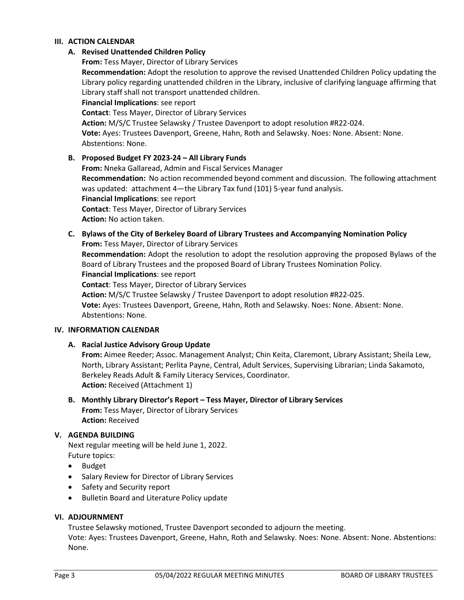#### **III. ACTION CALENDAR**

## **A. Revised Unattended Children Policy**

**From:** Tess Mayer, Director of Library Services

**Recommendation:** Adopt the resolution to approve the revised Unattended Children Policy updating the Library policy regarding unattended children in the Library, inclusive of clarifying language affirming that Library staff shall not transport unattended children.

**Financial Implications**: see report

**Contact**: Tess Mayer, Director of Library Services

**Action:** M/S/C Trustee Selawsky / Trustee Davenport to adopt resolution #R22-024.

**Vote:** Ayes: Trustees Davenport, Greene, Hahn, Roth and Selawsky. Noes: None. Absent: None. Abstentions: None.

### **B. Proposed Budget FY 2023-24 – All Library Funds**

**From:** Nneka Gallaread, Admin and Fiscal Services Manager **Recommendation:** No action recommended beyond comment and discussion. The following attachment was updated: attachment 4—the Library Tax fund (101) 5-year fund analysis. **Financial Implications**: see report **Contact**: Tess Mayer, Director of Library Services **Action:** No action taken.

**C. Bylaws of the City of Berkeley Board of Library Trustees and Accompanying Nomination Policy From:** Tess Mayer, Director of Library Services **Recommendation:** Adopt the resolution to adopt the resolution approving the proposed Bylaws of the Board of Library Trustees and the proposed Board of Library Trustees Nomination Policy. **Financial Implications**: see report **Contact**: Tess Mayer, Director of Library Services **Action:** M/S/C Trustee Selawsky / Trustee Davenport to adopt resolution #R22-025. **Vote:** Ayes: Trustees Davenport, Greene, Hahn, Roth and Selawsky. Noes: None. Absent: None. Abstentions: None.

#### **IV. INFORMATION CALENDAR**

**A. Racial Justice Advisory Group Update**

**From:** Aimee Reeder; Assoc. Management Analyst; Chin Keita, Claremont, Library Assistant; Sheila Lew, North, Library Assistant; Perlita Payne, Central, Adult Services, Supervising Librarian; Linda Sakamoto, Berkeley Reads Adult & Family Literacy Services, Coordinator. **Action:** Received (Attachment 1)

**B. Monthly Library Director's Report – Tess Mayer, Director of Library Services From:** Tess Mayer, Director of Library Services **Action:** Received

#### **V. AGENDA BUILDING**

Next regular meeting will be held June 1, 2022. Future topics:

- Budget
- Salary Review for Director of Library Services
- Safety and Security report
- Bulletin Board and Literature Policy update

### **VI. ADJOURNMENT**

Trustee Selawsky motioned, Trustee Davenport seconded to adjourn the meeting.

Vote: Ayes: Trustees Davenport, Greene, Hahn, Roth and Selawsky. Noes: None. Absent: None. Abstentions: None.